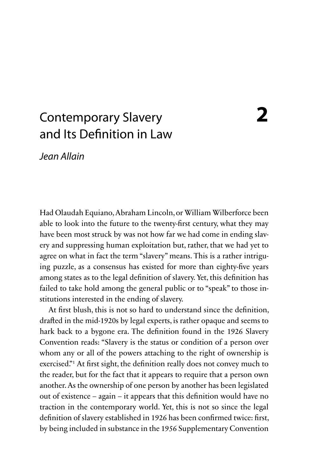# Contemporary Slavery **2** and Its Definition in Law

*Jean Allain*

Had Olaudah Equiano, Abraham Lincoln, or William Wilberforce been able to look into the future to the twenty-first century, what they may have been most struck by was not how far we had come in ending slavery and suppressing human exploitation but, rather, that we had yet to agree on what in fact the term "slavery" means. This is a rather intriguing puzzle, as a consensus has existed for more than eighty-five years among states as to the legal definition of slavery. Yet, this definition has failed to take hold among the general public or to "speak" to those institutions interested in the ending of slavery.

At first blush, this is not so hard to understand since the definition, drafted in the mid-1920s by legal experts, is rather opaque and seems to hark back to a bygone era. The definition found in the 1926 Slavery Convention reads: "Slavery is the status or condition of a person over whom any or all of the powers attaching to the right of ownership is exercised."1 At first sight, the definition really does not convey much to the reader, but for the fact that it appears to require that a person own another. As the ownership of one person by another has been legislated out of existence – again – it appears that this definition would have no traction in the contemporary world. Yet, this is not so since the legal definition of slavery established in 1926 has been confirmed twice: first, by being included in substance in the 1956 Supplementary Convention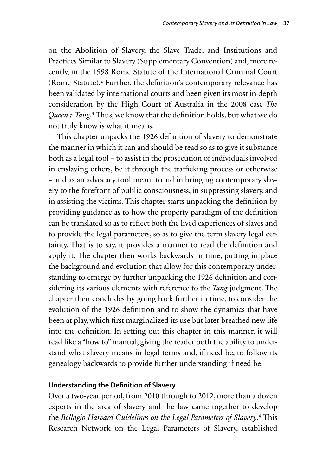on the Abolition of Slavery, the Slave Trade, and Institutions and Practices Similar to Slavery (Supplementary Convention) and, more recently, in the 1998 Rome Statute of the International Criminal Court (Rome Statute).<sup>2</sup> Further, the definition's contemporary relevance has been validated by international courts and been given its most in-depth consideration by the High Court of Australia in the 2008 case *The Queen v Tang*. 3 Thus, we know that the definition holds, but what we do not truly know is what it means.

This chapter unpacks the 1926 definition of slavery to demonstrate the manner in which it can and should be read so as to give it substance both as a legal tool – to assist in the prosecution of individuals involved in enslaving others, be it through the trafficking process or otherwise – and as an advocacy tool meant to aid in bringing contemporary slavery to the forefront of public consciousness, in suppressing slavery, and in assisting the victims. This chapter starts unpacking the definition by providing guidance as to how the property paradigm of the definition can be translated so as to reflect both the lived experiences of slaves and to provide the legal parameters, so as to give the term slavery legal certainty. That is to say, it provides a manner to read the definition and apply it. The chapter then works backwards in time, putting in place the background and evolution that allow for this contemporary understanding to emerge by further unpacking the 1926 definition and considering its various elements with reference to the *Tang* judgment. The chapter then concludes by going back further in time, to consider the evolution of the 1926 definition and to show the dynamics that have been at play, which first marginalized its use but later breathed new life into the definition. In setting out this chapter in this manner, it will read like a "how to" manual, giving the reader both the ability to understand what slavery means in legal terms and, if need be, to follow its genealogy backwards to provide further understanding if need be.

#### **Understanding the Definition of Slavery**

Over a two-year period, from 2010 through to 2012, more than a dozen experts in the area of slavery and the law came together to develop the *Bellagio-Harvard Guidelines on the Legal Parameters of Slavery*.<sup>4</sup> This Research Network on the Legal Parameters of Slavery, established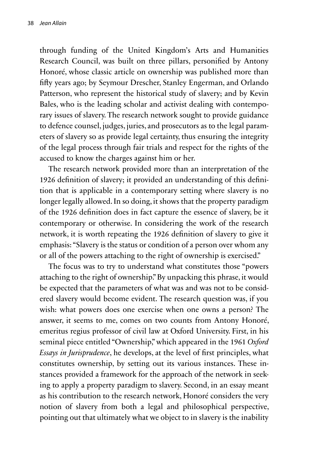through funding of the United Kingdom's Arts and Humanities Research Council, was built on three pillars, personified by Antony Honoré, whose classic article on ownership was published more than fifty years ago; by Seymour Drescher, Stanley Engerman, and Orlando Patterson, who represent the historical study of slavery; and by Kevin Bales, who is the leading scholar and activist dealing with contemporary issues of slavery. The research network sought to provide guidance to defence counsel, judges, juries, and prosecutors as to the legal parameters of slavery so as provide legal certainty, thus ensuring the integrity of the legal process through fair trials and respect for the rights of the accused to know the charges against him or her.

The research network provided more than an interpretation of the 1926 definition of slavery; it provided an understanding of this definition that is applicable in a contemporary setting where slavery is no longer legally allowed. In so doing, it shows that the property paradigm of the 1926 definition does in fact capture the essence of slavery, be it contemporary or otherwise. In considering the work of the research network, it is worth repeating the 1926 definition of slavery to give it emphasis: "Slavery is the status or condition of a person over whom any or all of the powers attaching to the right of ownership is exercised."

The focus was to try to understand what constitutes those "powers attaching to the right of ownership." By unpacking this phrase, it would be expected that the parameters of what was and was not to be considered slavery would become evident. The research question was, if you wish: what powers does one exercise when one owns a person? The answer, it seems to me, comes on two counts from Antony Honoré, emeritus regius professor of civil law at Oxford University. First, in his seminal piece entitled "Ownership," which appeared in the 1961 *Oxford Essays in Jurisprudence*, he develops, at the level of first principles, what constitutes ownership, by setting out its various instances. These instances provided a framework for the approach of the network in seeking to apply a property paradigm to slavery. Second, in an essay meant as his contribution to the research network, Honoré considers the very notion of slavery from both a legal and philosophical perspective, pointing out that ultimately what we object to in slavery is the inability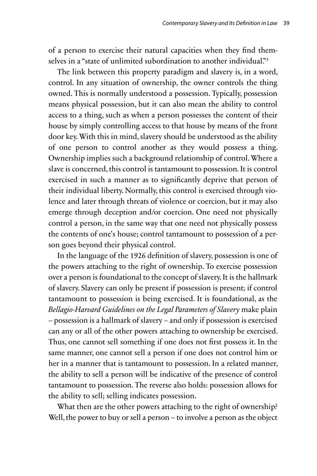of a person to exercise their natural capacities when they find themselves in a "state of unlimited subordination to another individual."<sup>5</sup>

The link between this property paradigm and slavery is, in a word, control. In any situation of ownership, the owner controls the thing owned. This is normally understood a possession. Typically, possession means physical possession, but it can also mean the ability to control access to a thing, such as when a person possesses the content of their house by simply controlling access to that house by means of the front door key. With this in mind, slavery should be understood as the ability of one person to control another as they would possess a thing. Ownership implies such a background relationship of control. Where a slave is concerned, this control is tantamount to possession. It is control exercised in such a manner as to significantly deprive that person of their individual liberty. Normally, this control is exercised through violence and later through threats of violence or coercion, but it may also emerge through deception and/or coercion. One need not physically control a person, in the same way that one need not physically possess the contents of one's house; control tantamount to possession of a person goes beyond their physical control.

In the language of the 1926 definition of slavery, possession is one of the powers attaching to the right of ownership. To exercise possession over a person is foundational to the concept of slavery. It is the hallmark of slavery. Slavery can only be present if possession is present; if control tantamount to possession is being exercised. It is foundational, as the *Bellagio-Harvard Guidelines on the Legal Parameters of Slavery* make plain – possession is a hallmark of slavery – and only if possession is exercised can any or all of the other powers attaching to ownership be exercised. Thus, one cannot sell something if one does not first possess it. In the same manner, one cannot sell a person if one does not control him or her in a manner that is tantamount to possession. In a related manner, the ability to sell a person will be indicative of the presence of control tantamount to possession. The reverse also holds: possession allows for the ability to sell; selling indicates possession.

What then are the other powers attaching to the right of ownership? Well, the power to buy or sell a person – to involve a person as the object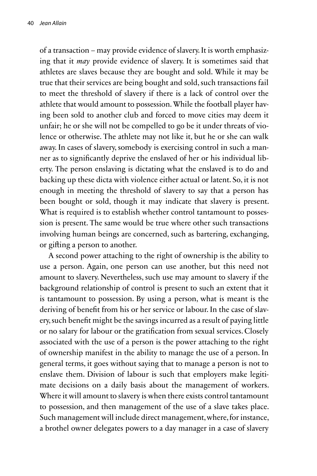of a transaction – may provide evidence of slavery. It is worth emphasizing that it *may* provide evidence of slavery. It is sometimes said that athletes are slaves because they are bought and sold. While it may be true that their services are being bought and sold, such transactions fail to meet the threshold of slavery if there is a lack of control over the athlete that would amount to possession. While the football player having been sold to another club and forced to move cities may deem it unfair; he or she will not be compelled to go be it under threats of violence or otherwise. The athlete may not like it, but he or she can walk away. In cases of slavery, somebody is exercising control in such a manner as to significantly deprive the enslaved of her or his individual liberty. The person enslaving is dictating what the enslaved is to do and backing up these dicta with violence either actual or latent. So, it is not enough in meeting the threshold of slavery to say that a person has been bought or sold, though it may indicate that slavery is present. What is required is to establish whether control tantamount to possession is present. The same would be true where other such transactions involving human beings are concerned, such as bartering, exchanging, or gifting a person to another.

A second power attaching to the right of ownership is the ability to use a person. Again, one person can use another, but this need not amount to slavery. Nevertheless, such use may amount to slavery if the background relationship of control is present to such an extent that it is tantamount to possession. By using a person, what is meant is the deriving of benefit from his or her service or labour. In the case of slavery, such benefit might be the savings incurred as a result of paying little or no salary for labour or the gratification from sexual services. Closely associated with the use of a person is the power attaching to the right of ownership manifest in the ability to manage the use of a person. In general terms, it goes without saying that to manage a person is not to enslave them. Division of labour is such that employers make legitimate decisions on a daily basis about the management of workers. Where it will amount to slavery is when there exists control tantamount to possession, and then management of the use of a slave takes place. Such management will include direct management, where, for instance, a brothel owner delegates powers to a day manager in a case of slavery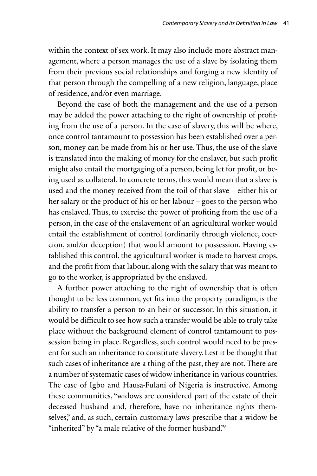within the context of sex work. It may also include more abstract management, where a person manages the use of a slave by isolating them from their previous social relationships and forging a new identity of that person through the compelling of a new religion, language, place of residence, and/or even marriage.

Beyond the case of both the management and the use of a person may be added the power attaching to the right of ownership of profiting from the use of a person. In the case of slavery, this will be where, once control tantamount to possession has been established over a person, money can be made from his or her use. Thus, the use of the slave is translated into the making of money for the enslaver, but such profit might also entail the mortgaging of a person, being let for profit, or being used as collateral. In concrete terms, this would mean that a slave is used and the money received from the toil of that slave – either his or her salary or the product of his or her labour – goes to the person who has enslaved. Thus, to exercise the power of profiting from the use of a person, in the case of the enslavement of an agricultural worker would entail the establishment of control (ordinarily through violence, coercion, and/or deception) that would amount to possession. Having established this control, the agricultural worker is made to harvest crops, and the profit from that labour, along with the salary that was meant to go to the worker, is appropriated by the enslaved.

A further power attaching to the right of ownership that is often thought to be less common, yet fits into the property paradigm, is the ability to transfer a person to an heir or successor. In this situation, it would be difficult to see how such a transfer would be able to truly take place without the background element of control tantamount to possession being in place. Regardless, such control would need to be present for such an inheritance to constitute slavery. Lest it be thought that such cases of inheritance are a thing of the past, they are not. There are a number of systematic cases of widow inheritance in various countries. The case of Igbo and Hausa-Fulani of Nigeria is instructive. Among these communities, "widows are considered part of the estate of their deceased husband and, therefore, have no inheritance rights themselves," and, as such, certain customary laws prescribe that a widow be "inherited" by "a male relative of the former husband."<sup>6</sup>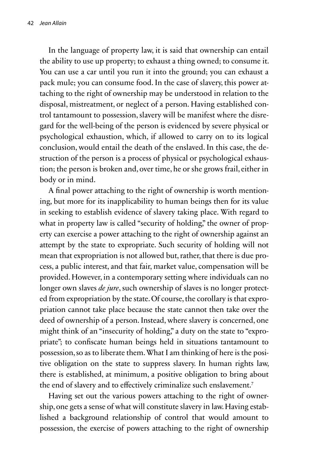In the language of property law, it is said that ownership can entail the ability to use up property; to exhaust a thing owned; to consume it. You can use a car until you run it into the ground; you can exhaust a pack mule; you can consume food. In the case of slavery, this power attaching to the right of ownership may be understood in relation to the disposal, mistreatment, or neglect of a person. Having established control tantamount to possession, slavery will be manifest where the disregard for the well-being of the person is evidenced by severe physical or psychological exhaustion, which, if allowed to carry on to its logical conclusion, would entail the death of the enslaved. In this case, the destruction of the person is a process of physical or psychological exhaustion; the person is broken and, over time, he or she grows frail, either in body or in mind.

A final power attaching to the right of ownership is worth mentioning, but more for its inapplicability to human beings then for its value in seeking to establish evidence of slavery taking place. With regard to what in property law is called "security of holding," the owner of property can exercise a power attaching to the right of ownership against an attempt by the state to expropriate. Such security of holding will not mean that expropriation is not allowed but, rather, that there is due process, a public interest, and that fair, market value, compensation will be provided. However, in a contemporary setting where individuals can no longer own slaves *de jure*, such ownership of slaves is no longer protected from expropriation by the state. Of course, the corollary is that expropriation cannot take place because the state cannot then take over the deed of ownership of a person. Instead, where slavery is concerned, one might think of an "insecurity of holding," a duty on the state to "expropriate"; to confiscate human beings held in situations tantamount to possession, so as to liberate them. What I am thinking of here is the positive obligation on the state to suppress slavery. In human rights law, there is established, at minimum, a positive obligation to bring about the end of slavery and to effectively criminalize such enslavement.<sup>7</sup>

Having set out the various powers attaching to the right of ownership, one gets a sense of what will constitute slavery in law. Having established a background relationship of control that would amount to possession, the exercise of powers attaching to the right of ownership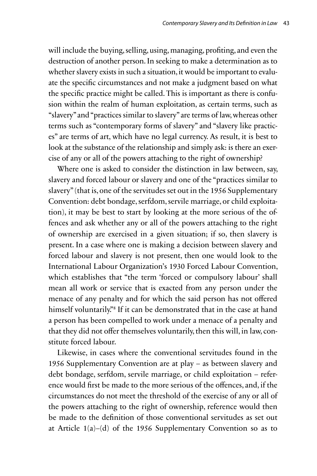will include the buying, selling, using, managing, profiting, and even the destruction of another person. In seeking to make a determination as to whether slavery exists in such a situation, it would be important to evaluate the specific circumstances and not make a judgment based on what the specific practice might be called. This is important as there is confusion within the realm of human exploitation, as certain terms, such as "slavery" and "practices similar to slavery" are terms of law, whereas other terms such as "contemporary forms of slavery" and "slavery like practices" are terms of art, which have no legal currency. As result, it is best to look at the substance of the relationship and simply ask: is there an exercise of any or all of the powers attaching to the right of ownership?

Where one is asked to consider the distinction in law between, say, slavery and forced labour or slavery and one of the "practices similar to slavery" (that is, one of the servitudes set out in the 1956 Supplementary Convention: debt bondage, serfdom, servile marriage, or child exploitation), it may be best to start by looking at the more serious of the offences and ask whether any or all of the powers attaching to the right of ownership are exercised in a given situation; if so, then slavery is present. In a case where one is making a decision between slavery and forced labour and slavery is not present, then one would look to the International Labour Organization's 1930 Forced Labour Convention, which establishes that "the term 'forced or compulsory labour' shall mean all work or service that is exacted from any person under the menace of any penalty and for which the said person has not offered himself voluntarily."<sup>8</sup> If it can be demonstrated that in the case at hand a person has been compelled to work under a menace of a penalty and that they did not offer themselves voluntarily, then this will, in law, constitute forced labour.

Likewise, in cases where the conventional servitudes found in the 1956 Supplementary Convention are at play – as between slavery and debt bondage, serfdom, servile marriage, or child exploitation – reference would first be made to the more serious of the offences, and, if the circumstances do not meet the threshold of the exercise of any or all of the powers attaching to the right of ownership, reference would then be made to the definition of those conventional servitudes as set out at Article  $1(a)$ –(d) of the 1956 Supplementary Convention so as to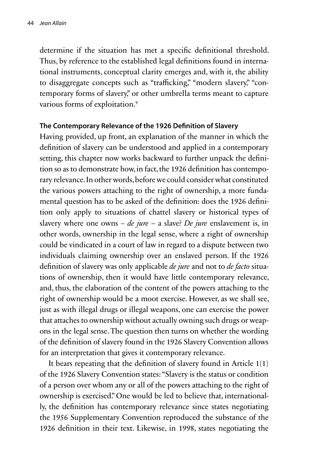determine if the situation has met a specific definitional threshold. Thus, by reference to the established legal definitions found in international instruments, conceptual clarity emerges and, with it, the ability to disaggregate concepts such as "trafficking," "modern slavery," "contemporary forms of slavery," or other umbrella terms meant to capture various forms of exploitation.<sup>9</sup>

#### **The Contemporary Relevance of the 1926 Definition of Slavery**

Having provided, up front, an explanation of the manner in which the definition of slavery can be understood and applied in a contemporary setting, this chapter now works backward to further unpack the definition so as to demonstrate how, in fact, the 1926 definition has contemporary relevance. In other words, before we could consider what constituted the various powers attaching to the right of ownership, a more fundamental question has to be asked of the definition: does the 1926 definition only apply to situations of chattel slavery or historical types of slavery where one owns – *de jure* – a slave? *De jure* enslavement is, in other words, ownership in the legal sense, where a right of ownership could be vindicated in a court of law in regard to a dispute between two individuals claiming ownership over an enslaved person. If the 1926 definition of slavery was only applicable *de jure* and not to *de facto* situations of ownership, then it would have little contemporary relevance, and, thus, the elaboration of the content of the powers attaching to the right of ownership would be a moot exercise. However, as we shall see, just as with illegal drugs or illegal weapons, one can exercise the power that attaches to ownership without actually owning such drugs or weapons in the legal sense. The question then turns on whether the wording of the definition of slavery found in the 1926 Slavery Convention allows for an interpretation that gives it contemporary relevance.

It bears repeating that the definition of slavery found in Article 1(1) of the 1926 Slavery Convention states: "Slavery is the status or condition of a person over whom any or all of the powers attaching to the right of ownership is exercised." One would be led to believe that, internationally, the definition has contemporary relevance since states negotiating the 1956 Supplementary Convention reproduced the substance of the 1926 definition in their text. Likewise, in 1998, states negotiating the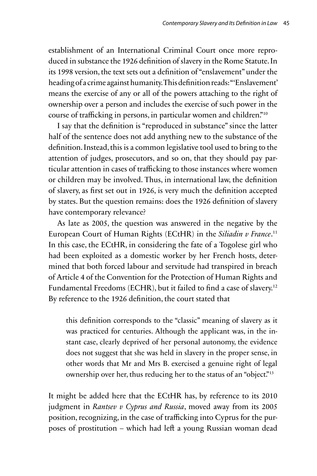establishment of an International Criminal Court once more reproduced in substance the 1926 definition of slavery in the Rome Statute. In its 1998 version, the text sets out a definition of "enslavement" under the heading of a crime against humanity. This definition reads: "'Enslavement' means the exercise of any or all of the powers attaching to the right of ownership over a person and includes the exercise of such power in the course of trafficking in persons, in particular women and children."10

I say that the definition is "reproduced in substance" since the latter half of the sentence does not add anything new to the substance of the definition. Instead, this is a common legislative tool used to bring to the attention of judges, prosecutors, and so on, that they should pay particular attention in cases of trafficking to those instances where women or children may be involved. Thus, in international law, the definition of slavery, as first set out in 1926, is very much the definition accepted by states. But the question remains: does the 1926 definition of slavery have contemporary relevance?

As late as 2005, the question was answered in the negative by the European Court of Human Rights (ECtHR) in the *Siliadin v France*. 11 In this case, the ECtHR, in considering the fate of a Togolese girl who had been exploited as a domestic worker by her French hosts, determined that both forced labour and servitude had transpired in breach of Article 4 of the Convention for the Protection of Human Rights and Fundamental Freedoms (ECHR), but it failed to find a case of slavery.<sup>12</sup> By reference to the 1926 definition, the court stated that

this definition corresponds to the "classic" meaning of slavery as it was practiced for centuries. Although the applicant was, in the instant case, clearly deprived of her personal autonomy, the evidence does not suggest that she was held in slavery in the proper sense, in other words that Mr and Mrs B. exercised a genuine right of legal ownership over her, thus reducing her to the status of an "object."13

It might be added here that the ECtHR has, by reference to its 2010 judgment in *Rantsev v Cyprus and Russia*, moved away from its 2005 position, recognizing, in the case of trafficking into Cyprus for the purposes of prostitution – which had left a young Russian woman dead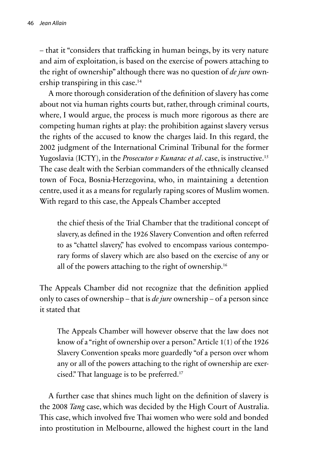– that it "considers that trafficking in human beings, by its very nature and aim of exploitation, is based on the exercise of powers attaching to the right of ownership" although there was no question of *de jure* ownership transpiring in this case.<sup>14</sup>

A more thorough consideration of the definition of slavery has come about not via human rights courts but, rather, through criminal courts, where, I would argue, the process is much more rigorous as there are competing human rights at play: the prohibition against slavery versus the rights of the accused to know the charges laid. In this regard, the 2002 judgment of the International Criminal Tribunal for the former Yugoslavia (ICTY), in the *Prosecutor v Kunarac et al*. case, is instructive.<sup>15</sup> The case dealt with the Serbian commanders of the ethnically cleansed town of Foca, Bosnia-Herzegovina, who, in maintaining a detention centre, used it as a means for regularly raping scores of Muslim women. With regard to this case, the Appeals Chamber accepted

the chief thesis of the Trial Chamber that the traditional concept of slavery, as defined in the 1926 Slavery Convention and often referred to as "chattel slavery," has evolved to encompass various contemporary forms of slavery which are also based on the exercise of any or all of the powers attaching to the right of ownership.16

The Appeals Chamber did not recognize that the definition applied only to cases of ownership – that is *de jure* ownership – of a person since it stated that

The Appeals Chamber will however observe that the law does not know of a "right of ownership over a person." Article 1(1) of the 1926 Slavery Convention speaks more guardedly "of a person over whom any or all of the powers attaching to the right of ownership are exercised." That language is to be preferred.<sup>17</sup>

A further case that shines much light on the definition of slavery is the 2008 *Tang* case, which was decided by the High Court of Australia. This case, which involved five Thai women who were sold and bonded into prostitution in Melbourne, allowed the highest court in the land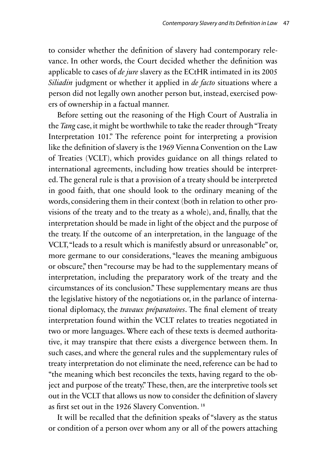to consider whether the definition of slavery had contemporary relevance. In other words, the Court decided whether the definition was applicable to cases of *de jure* slavery as the ECtHR intimated in its 2005 *Siliadin* judgment or whether it applied in *de facto* situations where a person did not legally own another person but, instead, exercised powers of ownership in a factual manner.

Before setting out the reasoning of the High Court of Australia in the *Tang* case, it might be worthwhile to take the reader through "Treaty Interpretation 101." The reference point for interpreting a provision like the definition of slavery is the 1969 Vienna Convention on the Law of Treaties (VCLT), which provides guidance on all things related to international agreements, including how treaties should be interpreted. The general rule is that a provision of a treaty should be interpreted in good faith, that one should look to the ordinary meaning of the words, considering them in their context (both in relation to other provisions of the treaty and to the treaty as a whole), and, finally, that the interpretation should be made in light of the object and the purpose of the treaty. If the outcome of an interpretation, in the language of the VCLT, "leads to a result which is manifestly absurd or unreasonable" or, more germane to our considerations, "leaves the meaning ambiguous or obscure," then "recourse may be had to the supplementary means of interpretation, including the preparatory work of the treaty and the circumstances of its conclusion." These supplementary means are thus the legislative history of the negotiations or, in the parlance of international diplomacy, the *travaux préparatoires*. The final element of treaty interpretation found within the VCLT relates to treaties negotiated in two or more languages. Where each of these texts is deemed authoritative, it may transpire that there exists a divergence between them. In such cases, and where the general rules and the supplementary rules of treaty interpretation do not eliminate the need, reference can be had to "the meaning which best reconciles the texts, having regard to the object and purpose of the treaty." These, then, are the interpretive tools set out in the VCLT that allows us now to consider the definition of slavery as first set out in the 1926 Slavery Convention. 18

It will be recalled that the definition speaks of "slavery as the status or condition of a person over whom any or all of the powers attaching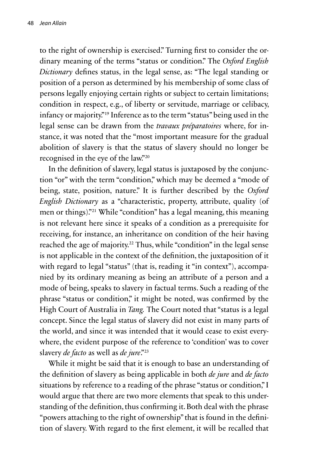to the right of ownership is exercised." Turning first to consider the ordinary meaning of the terms "status or condition." The *Oxford English Dictionary* defines status, in the legal sense, as: "The legal standing or position of a person as determined by his membership of some class of persons legally enjoying certain rights or subject to certain limitations; condition in respect, e.g., of liberty or servitude, marriage or celibacy, infancy or majority."19 Inference as to the term "status" being used in the legal sense can be drawn from the *travaux préparatoires* where, for instance, it was noted that the "most important measure for the gradual abolition of slavery is that the status of slavery should no longer be recognised in the eye of the law."20

In the definition of slavery, legal status is juxtaposed by the conjunction "or" with the term "condition," which may be deemed a "mode of being, state, position, nature." It is further described by the *Oxford English Dictionary* as a "characteristic, property, attribute, quality (of men or things)."21 While "condition" has a legal meaning, this meaning is not relevant here since it speaks of a condition as a prerequisite for receiving, for instance, an inheritance on condition of the heir having reached the age of majority.<sup>22</sup> Thus, while "condition" in the legal sense is not applicable in the context of the definition, the juxtaposition of it with regard to legal "status" (that is, reading it "in context"), accompanied by its ordinary meaning as being an attribute of a person and a mode of being, speaks to slavery in factual terms. Such a reading of the phrase "status or condition," it might be noted, was confirmed by the High Court of Australia in *Tang.* The Court noted that "status is a legal concept. Since the legal status of slavery did not exist in many parts of the world, and since it was intended that it would cease to exist everywhere, the evident purpose of the reference to 'condition' was to cover slavery *de facto* as well as *de jure*."23

While it might be said that it is enough to base an understanding of the definition of slavery as being applicable in both *de jure* and *de facto* situations by reference to a reading of the phrase "status or condition," I would argue that there are two more elements that speak to this understanding of the definition, thus confirming it. Both deal with the phrase "powers attaching to the right of ownership" that is found in the definition of slavery. With regard to the first element, it will be recalled that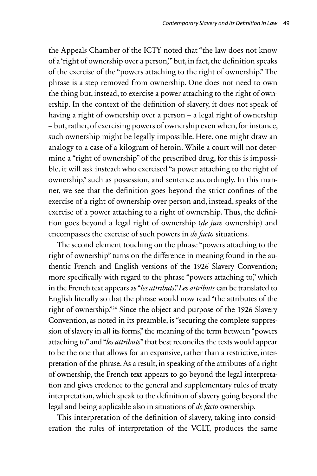the Appeals Chamber of the ICTY noted that "the law does not know of a 'right of ownership over a person,'" but, in fact, the definition speaks of the exercise of the "powers attaching to the right of ownership." The phrase is a step removed from ownership. One does not need to own the thing but, instead, to exercise a power attaching to the right of ownership. In the context of the definition of slavery, it does not speak of having a right of ownership over a person – a legal right of ownership – but, rather, of exercising powers of ownership even when, for instance, such ownership might be legally impossible. Here, one might draw an analogy to a case of a kilogram of heroin. While a court will not determine a "right of ownership" of the prescribed drug, for this is impossible, it will ask instead: who exercised "a power attaching to the right of ownership," such as possession, and sentence accordingly. In this manner, we see that the definition goes beyond the strict confines of the exercise of a right of ownership over person and, instead, speaks of the exercise of a power attaching to a right of ownership. Thus, the definition goes beyond a legal right of ownership (*de jure* ownership) and encompasses the exercise of such powers in *de facto* situations.

The second element touching on the phrase "powers attaching to the right of ownership" turns on the difference in meaning found in the authentic French and English versions of the 1926 Slavery Convention; more specifically with regard to the phrase "powers attaching to," which in the French text appears as "*les attributs*." *Les attributs* can be translated to English literally so that the phrase would now read "the attributes of the right of ownership."24 Since the object and purpose of the 1926 Slavery Convention, as noted in its preamble, is "securing the complete suppression of slavery in all its forms," the meaning of the term between "powers attaching to" and "*les attributs*" that best reconciles the texts would appear to be the one that allows for an expansive, rather than a restrictive, interpretation of the phrase. As a result, in speaking of the attributes of a right of ownership, the French text appears to go beyond the legal interpretation and gives credence to the general and supplementary rules of treaty interpretation, which speak to the definition of slavery going beyond the legal and being applicable also in situations of *de facto* ownership.

This interpretation of the definition of slavery, taking into consideration the rules of interpretation of the VCLT, produces the same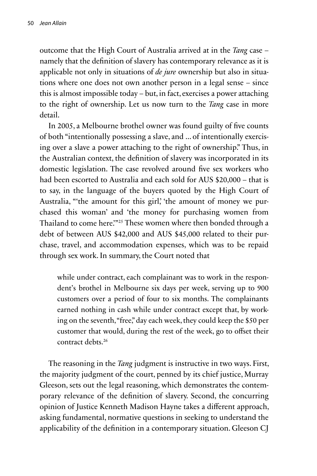outcome that the High Court of Australia arrived at in the *Tang* case – namely that the definition of slavery has contemporary relevance as it is applicable not only in situations of *de jure* ownership but also in situations where one does not own another person in a legal sense – since this is almost impossible today – but, in fact, exercises a power attaching to the right of ownership. Let us now turn to the *Tang* case in more detail.

In 2005, a Melbourne brothel owner was found guilty of five counts of both "intentionally possessing a slave, and ... of intentionally exercising over a slave a power attaching to the right of ownership." Thus, in the Australian context, the definition of slavery was incorporated in its domestic legislation. The case revolved around five sex workers who had been escorted to Australia and each sold for AUS \$20,000 – that is to say, in the language of the buyers quoted by the High Court of Australia, "the amount for this girl, 'the amount of money we purchased this woman' and 'the money for purchasing women from Thailand to come here."<sup>25</sup> These women where then bonded through a debt of between AUS \$42,000 and AUS \$45,000 related to their purchase, travel, and accommodation expenses, which was to be repaid through sex work. In summary, the Court noted that

while under contract, each complainant was to work in the respondent's brothel in Melbourne six days per week, serving up to 900 customers over a period of four to six months. The complainants earned nothing in cash while under contract except that, by working on the seventh, "free," day each week, they could keep the \$50 per customer that would, during the rest of the week, go to offset their contract debts.26

The reasoning in the *Tang* judgment is instructive in two ways. First, the majority judgment of the court, penned by its chief justice, Murray Gleeson, sets out the legal reasoning, which demonstrates the contemporary relevance of the definition of slavery. Second, the concurring opinion of Justice Kenneth Madison Hayne takes a different approach, asking fundamental, normative questions in seeking to understand the applicability of the definition in a contemporary situation. Gleeson CJ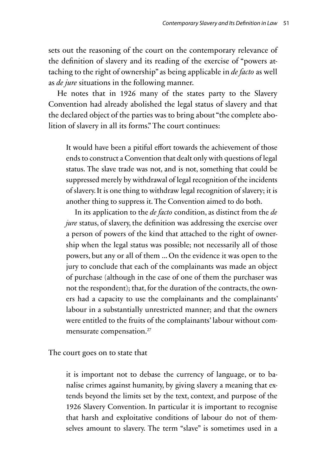sets out the reasoning of the court on the contemporary relevance of the definition of slavery and its reading of the exercise of "powers attaching to the right of ownership" as being applicable in *de facto* as well as *de jure* situations in the following manner.

He notes that in 1926 many of the states party to the Slavery Convention had already abolished the legal status of slavery and that the declared object of the parties was to bring about "the complete abolition of slavery in all its forms." The court continues:

It would have been a pitiful effort towards the achievement of those ends to construct a Convention that dealt only with questions of legal status. The slave trade was not, and is not, something that could be suppressed merely by withdrawal of legal recognition of the incidents of slavery. It is one thing to withdraw legal recognition of slavery; it is another thing to suppress it. The Convention aimed to do both.

In its application to the *de facto* condition, as distinct from the *de jure* status, of slavery, the definition was addressing the exercise over a person of powers of the kind that attached to the right of ownership when the legal status was possible; not necessarily all of those powers, but any or all of them ... On the evidence it was open to the jury to conclude that each of the complainants was made an object of purchase (although in the case of one of them the purchaser was not the respondent); that, for the duration of the contracts, the owners had a capacity to use the complainants and the complainants' labour in a substantially unrestricted manner; and that the owners were entitled to the fruits of the complainants' labour without commensurate compensation.<sup>27</sup>

The court goes on to state that

it is important not to debase the currency of language, or to banalise crimes against humanity, by giving slavery a meaning that extends beyond the limits set by the text, context, and purpose of the 1926 Slavery Convention. In particular it is important to recognise that harsh and exploitative conditions of labour do not of themselves amount to slavery. The term "slave" is sometimes used in a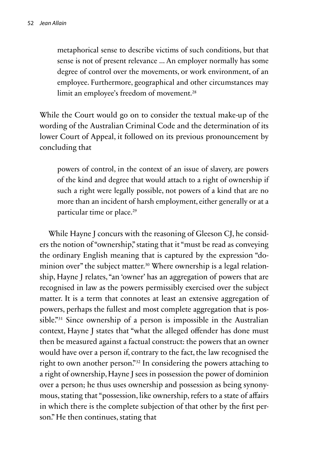metaphorical sense to describe victims of such conditions, but that sense is not of present relevance ... An employer normally has some degree of control over the movements, or work environment, of an employee. Furthermore, geographical and other circumstances may limit an employee's freedom of movement.<sup>28</sup>

While the Court would go on to consider the textual make-up of the wording of the Australian Criminal Code and the determination of its lower Court of Appeal, it followed on its previous pronouncement by concluding that

powers of control, in the context of an issue of slavery, are powers of the kind and degree that would attach to a right of ownership if such a right were legally possible, not powers of a kind that are no more than an incident of harsh employment, either generally or at a particular time or place.<sup>29</sup>

While Hayne J concurs with the reasoning of Gleeson CJ, he considers the notion of "ownership," stating that it "must be read as conveying the ordinary English meaning that is captured by the expression "dominion over" the subject matter.<sup>30</sup> Where ownership is a legal relationship, Hayne J relates, "an 'owner' has an aggregation of powers that are recognised in law as the powers permissibly exercised over the subject matter. It is a term that connotes at least an extensive aggregation of powers, perhaps the fullest and most complete aggregation that is possible."<sup>31</sup> Since ownership of a person is impossible in the Australian context, Hayne J states that "what the alleged offender has done must then be measured against a factual construct: the powers that an owner would have over a person if, contrary to the fact, the law recognised the right to own another person."32 In considering the powers attaching to a right of ownership, Hayne J sees in possession the power of dominion over a person; he thus uses ownership and possession as being synonymous, stating that "possession, like ownership, refers to a state of affairs in which there is the complete subjection of that other by the first person." He then continues, stating that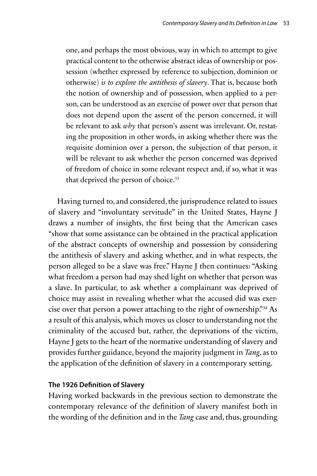one, and perhaps the most obvious, way in which to attempt to give practical content to the otherwise abstract ideas of ownership or possession (whether expressed by reference to subjection, dominion or otherwise) i*s to explore the antithesis of slavery*. That is, because both the notion of ownership and of possession, when applied to a person, can be understood as an exercise of power over that person that does not depend upon the assent of the person concerned, it will be relevant to ask *why* that person's assent was irrelevant. Or, restating the proposition in other words, in asking whether there was the requisite dominion over a person, the subjection of that person, it will be relevant to ask whether the person concerned was deprived of freedom of choice in some relevant respect and, if so, what it was that deprived the person of choice.<sup>33</sup>

Having turned to, and considered, the jurisprudence related to issues of slavery and "involuntary servitude" in the United States, Hayne J draws a number of insights, the first being that the American cases "show that some assistance can be obtained in the practical application of the abstract concepts of ownership and possession by considering the antithesis of slavery and asking whether, and in what respects, the person alleged to be a slave was free." Hayne J then continues: "Asking what freedom a person had may shed light on whether that person was a slave. In particular, to ask whether a complainant was deprived of choice may assist in revealing whether what the accused did was exercise over that person a power attaching to the right of ownership."34 As a result of this analysis, which moves us closer to understanding not the criminality of the accused but, rather, the deprivations of the victim, Hayne J gets to the heart of the normative understanding of slavery and provides further guidance, beyond the majority judgment in *Tang*, as to the application of the definition of slavery in a contemporary setting.

## **The 1926 Definition of Slavery**

Having worked backwards in the previous section to demonstrate the contemporary relevance of the definition of slavery manifest both in the wording of the definition and in the *Tang* case and, thus, grounding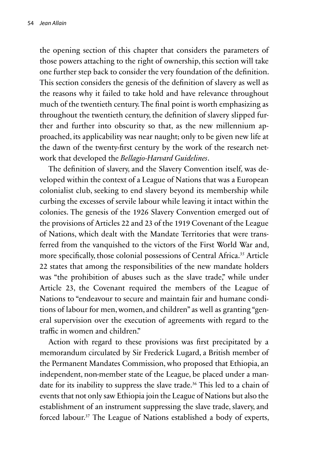the opening section of this chapter that considers the parameters of those powers attaching to the right of ownership, this section will take one further step back to consider the very foundation of the definition. This section considers the genesis of the definition of slavery as well as the reasons why it failed to take hold and have relevance throughout much of the twentieth century. The final point is worth emphasizing as throughout the twentieth century, the definition of slavery slipped further and further into obscurity so that, as the new millennium approached, its applicability was near naught; only to be given new life at the dawn of the twenty-first century by the work of the research network that developed the *Bellagio-Harvard Guidelines*.

The definition of slavery, and the Slavery Convention itself, was developed within the context of a League of Nations that was a European colonialist club, seeking to end slavery beyond its membership while curbing the excesses of servile labour while leaving it intact within the colonies. The genesis of the 1926 Slavery Convention emerged out of the provisions of Articles 22 and 23 of the 1919 Covenant of the League of Nations, which dealt with the Mandate Territories that were transferred from the vanquished to the victors of the First World War and, more specifically, those colonial possessions of Central Africa.<sup>35</sup> Article 22 states that among the responsibilities of the new mandate holders was "the prohibition of abuses such as the slave trade," while under Article 23, the Covenant required the members of the League of Nations to "endeavour to secure and maintain fair and humane conditions of labour for men, women, and children" as well as granting "general supervision over the execution of agreements with regard to the traffic in women and children."

Action with regard to these provisions was first precipitated by a memorandum circulated by Sir Frederick Lugard, a British member of the Permanent Mandates Commission, who proposed that Ethiopia, an independent, non-member state of the League, be placed under a mandate for its inability to suppress the slave trade.<sup>36</sup> This led to a chain of events that not only saw Ethiopia join the League of Nations but also the establishment of an instrument suppressing the slave trade, slavery, and forced labour.<sup>37</sup> The League of Nations established a body of experts,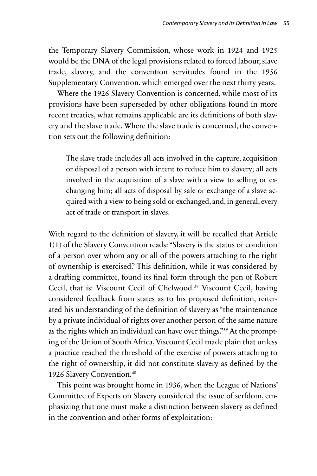the Temporary Slavery Commission, whose work in 1924 and 1925 would be the DNA of the legal provisions related to forced labour, slave trade, slavery, and the convention servitudes found in the 1956 Supplementary Convention, which emerged over the next thirty years.

Where the 1926 Slavery Convention is concerned, while most of its provisions have been superseded by other obligations found in more recent treaties, what remains applicable are its definitions of both slavery and the slave trade. Where the slave trade is concerned, the convention sets out the following definition:

The slave trade includes all acts involved in the capture, acquisition or disposal of a person with intent to reduce him to slavery; all acts involved in the acquisition of a slave with a view to selling or exchanging him; all acts of disposal by sale or exchange of a slave acquired with a view to being sold or exchanged, and, in general, every act of trade or transport in slaves.

With regard to the definition of slavery, it will be recalled that Article 1(1) of the Slavery Convention reads: "Slavery is the status or condition of a person over whom any or all of the powers attaching to the right of ownership is exercised." This definition, while it was considered by a drafting committee, found its final form through the pen of Robert Cecil, that is: Viscount Cecil of Chelwood.38 Viscount Cecil, having considered feedback from states as to his proposed definition, reiterated his understanding of the definition of slavery as "the maintenance by a private individual of rights over another person of the same nature as the rights which an individual can have over things."<sup>39</sup> At the prompting of the Union of South Africa, Viscount Cecil made plain that unless a practice reached the threshold of the exercise of powers attaching to the right of ownership, it did not constitute slavery as defined by the 1926 Slavery Convention.<sup>40</sup>

This point was brought home in 1936, when the League of Nations' Committee of Experts on Slavery considered the issue of serfdom, emphasizing that one must make a distinction between slavery as defined in the convention and other forms of exploitation: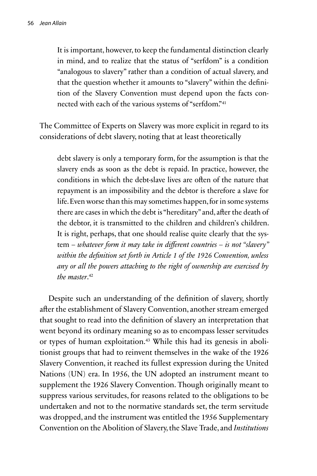It is important, however, to keep the fundamental distinction clearly in mind, and to realize that the status of "serfdom" is a condition "analogous to slavery" rather than a condition of actual slavery, and that the question whether it amounts to "slavery" within the definition of the Slavery Convention must depend upon the facts connected with each of the various systems of "serfdom."41

The Committee of Experts on Slavery was more explicit in regard to its considerations of debt slavery, noting that at least theoretically

debt slavery is only a temporary form, for the assumption is that the slavery ends as soon as the debt is repaid. In practice, however, the conditions in which the debt-slave lives are often of the nature that repayment is an impossibility and the debtor is therefore a slave for life. Even worse than this may sometimes happen, for in some systems there are cases in which the debt is "hereditary" and, after the death of the debtor, it is transmitted to the children and children's children. It is right, perhaps, that one should realise quite clearly that the system – *whatever form it may take in different countries – is not "slavery" within the definition set forth in Article 1 of the 1926 Convention, unless any or all the powers attaching to the right of ownership are exercised by the master*. 42

Despite such an understanding of the definition of slavery, shortly after the establishment of Slavery Convention, another stream emerged that sought to read into the definition of slavery an interpretation that went beyond its ordinary meaning so as to encompass lesser servitudes or types of human exploitation.<sup>43</sup> While this had its genesis in abolitionist groups that had to reinvent themselves in the wake of the 1926 Slavery Convention, it reached its fullest expression during the United Nations (UN) era. In 1956, the UN adopted an instrument meant to supplement the 1926 Slavery Convention. Though originally meant to suppress various servitudes, for reasons related to the obligations to be undertaken and not to the normative standards set, the term servitude was dropped, and the instrument was entitled the 1956 Supplementary Convention on the Abolition of Slavery, the Slave Trade, and *Institutions*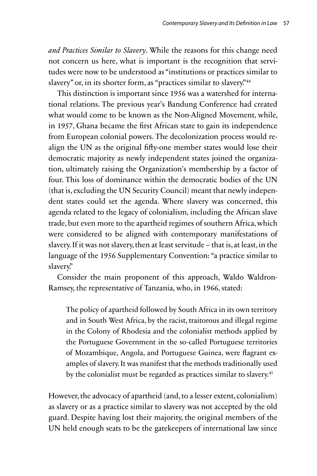*and Practices Similar to Slavery*. While the reasons for this change need not concern us here, what is important is the recognition that servitudes were now to be understood as "institutions or practices similar to slavery" or, in its shorter form, as "practices similar to slavery."44

This distinction is important since 1956 was a watershed for international relations. The previous year's Bandung Conference had created what would come to be known as the Non-Aligned Movement, while, in 1957, Ghana became the first African state to gain its independence from European colonial powers. The decolonization process would realign the UN as the original fifty-one member states would lose their democratic majority as newly independent states joined the organization, ultimately raising the Organization's membership by a factor of four. This loss of dominance within the democratic bodies of the UN (that is, excluding the UN Security Council) meant that newly independent states could set the agenda. Where slavery was concerned, this agenda related to the legacy of colonialism, including the African slave trade, but even more to the apartheid regimes of southern Africa, which were considered to be aligned with contemporary manifestations of slavery. If it was not slavery, then at least servitude – that is, at least, in the language of the 1956 Supplementary Convention: "a practice similar to slavery."

Consider the main proponent of this approach, Waldo Waldron-Ramsey, the representative of Tanzania, who, in 1966, stated:

The policy of apartheid followed by South Africa in its own territory and in South West Africa, by the racist, traitorous and illegal regime in the Colony of Rhodesia and the colonialist methods applied by the Portuguese Government in the so-called Portuguese territories of Mozambique, Angola, and Portuguese Guinea, were flagrant examples of slavery. It was manifest that the methods traditionally used by the colonialist must be regarded as practices similar to slavery.<sup>45</sup>

However, the advocacy of apartheid (and, to a lesser extent, colonialism) as slavery or as a practice similar to slavery was not accepted by the old guard. Despite having lost their majority, the original members of the UN held enough seats to be the gatekeepers of international law since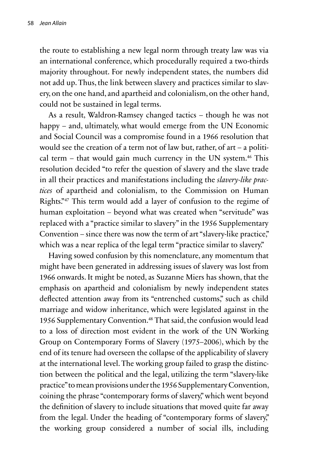the route to establishing a new legal norm through treaty law was via an international conference, which procedurally required a two-thirds majority throughout. For newly independent states, the numbers did not add up. Thus, the link between slavery and practices similar to slavery, on the one hand, and apartheid and colonialism, on the other hand, could not be sustained in legal terms.

As a result, Waldron-Ramsey changed tactics – though he was not happy – and, ultimately, what would emerge from the UN Economic and Social Council was a compromise found in a 1966 resolution that would see the creation of a term not of law but, rather, of art – a political term – that would gain much currency in the UN system.<sup>46</sup> This resolution decided "to refer the question of slavery and the slave trade in all their practices and manifestations including the *slavery-like practices* of apartheid and colonialism, to the Commission on Human Rights."47 This term would add a layer of confusion to the regime of human exploitation – beyond what was created when "servitude" was replaced with a "practice similar to slavery" in the 1956 Supplementary Convention – since there was now the term of art "slavery-like practice," which was a near replica of the legal term "practice similar to slavery."

Having sowed confusion by this nomenclature, any momentum that might have been generated in addressing issues of slavery was lost from 1966 onwards. It might be noted, as Suzanne Miers has shown, that the emphasis on apartheid and colonialism by newly independent states deflected attention away from its "entrenched customs," such as child marriage and widow inheritance, which were legislated against in the 1956 Supplementary Convention.<sup>48</sup> That said, the confusion would lead to a loss of direction most evident in the work of the UN Working Group on Contemporary Forms of Slavery (1975–2006), which by the end of its tenure had overseen the collapse of the applicability of slavery at the international level. The working group failed to grasp the distinction between the political and the legal, utilizing the term "slavery-like practice" to mean provisions under the 1956 Supplementary Convention, coining the phrase "contemporary forms of slavery," which went beyond the definition of slavery to include situations that moved quite far away from the legal. Under the heading of "contemporary forms of slavery," the working group considered a number of social ills, including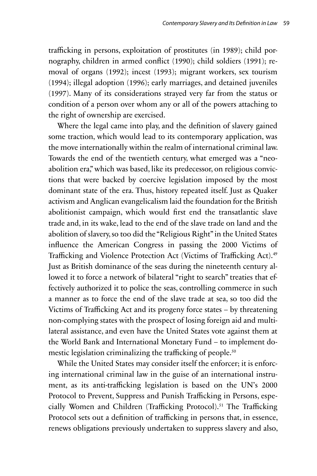trafficking in persons, exploitation of prostitutes (in 1989); child pornography, children in armed conflict (1990); child soldiers (1991); removal of organs (1992); incest (1993); migrant workers, sex tourism (1994); illegal adoption (1996); early marriages, and detained juveniles (1997). Many of its considerations strayed very far from the status or condition of a person over whom any or all of the powers attaching to the right of ownership are exercised.

Where the legal came into play, and the definition of slavery gained some traction, which would lead to its contemporary application, was the move internationally within the realm of international criminal law. Towards the end of the twentieth century, what emerged was a "neoabolition era," which was based, like its predecessor, on religious convictions that were backed by coercive legislation imposed by the most dominant state of the era. Thus, history repeated itself. Just as Quaker activism and Anglican evangelicalism laid the foundation for the British abolitionist campaign, which would first end the transatlantic slave trade and, in its wake, lead to the end of the slave trade on land and the abolition of slavery, so too did the "Religious Right" in the United States influence the American Congress in passing the 2000 Victims of Trafficking and Violence Protection Act (Victims of Trafficking Act).49 Just as British dominance of the seas during the nineteenth century allowed it to force a network of bilateral "right to search" treaties that effectively authorized it to police the seas, controlling commerce in such a manner as to force the end of the slave trade at sea, so too did the Victims of Trafficking Act and its progeny force states – by threatening non-complying states with the prospect of losing foreign aid and multilateral assistance, and even have the United States vote against them at the World Bank and International Monetary Fund – to implement domestic legislation criminalizing the trafficking of people.<sup>50</sup>

While the United States may consider itself the enforcer; it is enforcing international criminal law in the guise of an international instrument, as its anti-trafficking legislation is based on the UN's 2000 Protocol to Prevent, Suppress and Punish Trafficking in Persons, especially Women and Children (Trafficking Protocol).<sup>51</sup> The Trafficking Protocol sets out a definition of trafficking in persons that, in essence, renews obligations previously undertaken to suppress slavery and also,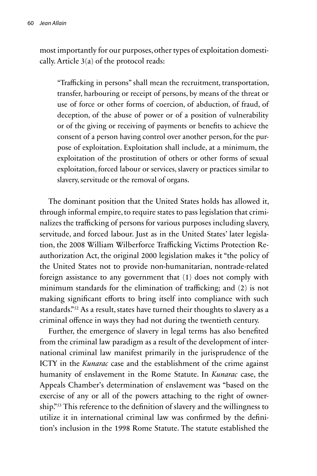most importantly for our purposes, other types of exploitation domestically. Article 3(a) of the protocol reads:

"Trafficking in persons" shall mean the recruitment, transportation, transfer, harbouring or receipt of persons, by means of the threat or use of force or other forms of coercion, of abduction, of fraud, of deception, of the abuse of power or of a position of vulnerability or of the giving or receiving of payments or benefits to achieve the consent of a person having control over another person, for the purpose of exploitation. Exploitation shall include, at a minimum, the exploitation of the prostitution of others or other forms of sexual exploitation, forced labour or services, slavery or practices similar to slavery, servitude or the removal of organs.

The dominant position that the United States holds has allowed it, through informal empire, to require states to pass legislation that criminalizes the trafficking of persons for various purposes including slavery, servitude, and forced labour. Just as in the United States' later legislation, the 2008 William Wilberforce Trafficking Victims Protection Reauthorization Act, the original 2000 legislation makes it "the policy of the United States not to provide non-humanitarian, nontrade-related foreign assistance to any government that (1) does not comply with minimum standards for the elimination of trafficking; and (2) is not making significant efforts to bring itself into compliance with such standards."<sup>52</sup> As a result, states have turned their thoughts to slavery as a criminal offence in ways they had not during the twentieth century.

Further, the emergence of slavery in legal terms has also benefited from the criminal law paradigm as a result of the development of international criminal law manifest primarily in the jurisprudence of the ICTY in the *Kunarac* case and the establishment of the crime against humanity of enslavement in the Rome Statute. In *Kunarac* case, the Appeals Chamber's determination of enslavement was "based on the exercise of any or all of the powers attaching to the right of ownership."53 This reference to the definition of slavery and the willingness to utilize it in international criminal law was confirmed by the definition's inclusion in the 1998 Rome Statute. The statute established the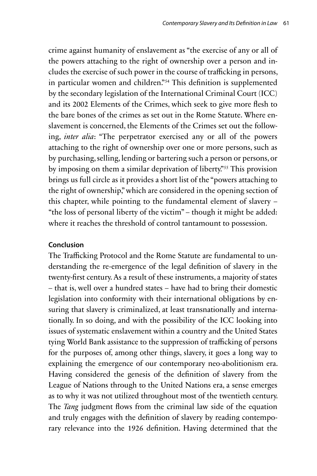crime against humanity of enslavement as "the exercise of any or all of the powers attaching to the right of ownership over a person and includes the exercise of such power in the course of trafficking in persons, in particular women and children."54 This definition is supplemented by the secondary legislation of the International Criminal Court (ICC) and its 2002 Elements of the Crimes, which seek to give more flesh to the bare bones of the crimes as set out in the Rome Statute. Where enslavement is concerned, the Elements of the Crimes set out the following, *inter alia*: "The perpetrator exercised any or all of the powers attaching to the right of ownership over one or more persons, such as by purchasing, selling, lending or bartering such a person or persons, or by imposing on them a similar deprivation of liberty."55 This provision brings us full circle as it provides a short list of the "powers attaching to the right of ownership," which are considered in the opening section of this chapter, while pointing to the fundamental element of slavery – "the loss of personal liberty of the victim" – though it might be added: where it reaches the threshold of control tantamount to possession.

## **Conclusion**

The Trafficking Protocol and the Rome Statute are fundamental to understanding the re-emergence of the legal definition of slavery in the twenty-first century. As a result of these instruments, a majority of states – that is, well over a hundred states – have had to bring their domestic legislation into conformity with their international obligations by ensuring that slavery is criminalized, at least transnationally and internationally. In so doing, and with the possibility of the ICC looking into issues of systematic enslavement within a country and the United States tying World Bank assistance to the suppression of trafficking of persons for the purposes of, among other things, slavery, it goes a long way to explaining the emergence of our contemporary neo-abolitionism era. Having considered the genesis of the definition of slavery from the League of Nations through to the United Nations era, a sense emerges as to why it was not utilized throughout most of the twentieth century. The *Tang* judgment flows from the criminal law side of the equation and truly engages with the definition of slavery by reading contemporary relevance into the 1926 definition. Having determined that the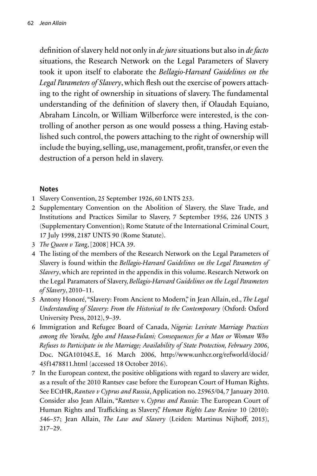definition of slavery held not only in *de jure* situations but also in *de facto* situations, the Research Network on the Legal Parameters of Slavery took it upon itself to elaborate the *Bellagio-Harvard Guidelines on the Legal Parameters of Slavery*, which flesh out the exercise of powers attaching to the right of ownership in situations of slavery. The fundamental understanding of the definition of slavery then, if Olaudah Equiano, Abraham Lincoln, or William Wilberforce were interested, is the controlling of another person as one would possess a thing. Having established such control, the powers attaching to the right of ownership will include the buying, selling, use, management, profit, transfer, or even the destruction of a person held in slavery.

### **Notes**

- 1 Slavery Convention, 25 September 1926, 60 LNTS 253.
- 2 Supplementary Convention on the Abolition of Slavery, the Slave Trade, and Institutions and Practices Similar to Slavery, 7 September 1956, 226 UNTS 3 (Supplementary Convention); Rome Statute of the International Criminal Court, 17 July 1998, 2187 UNTS 90 (Rome Statute).
- 3 *The Queen v Tang*, [2008] HCA 39.
- 4 The listing of the members of the Research Network on the Legal Parameters of Slavery is found within the *Bellagio-Harvard Guidelines on the Legal Parameters of Slavery*, which are reprinted in the appendix in this volume. Research Network on the Legal Paramaters of Slavery, *Bellagio-Harvard Guidelines on the Legal Parameters of Slavery*, 2010–11.
- 5 Antony Honoré, "Slavery: From Ancient to Modern," in Jean Allain, ed., *The Legal Understanding of Slavery: From the Historical to the Contemporary* (Oxford: Oxford University Press, 2012), 9–39.
- 6 Immigration and Refugee Board of Canada, *Nigeria: Levirate Marriage Practices among the Yoruba, Igbo and Hausa-Fulani; Consequences for a Man or Woman Who Refuses to Participate in the Marriage; Availability of State Protection, February 2006*, Doc. NGA101045.E, 16 March 2006, http://www.unhcr.org/refworld/docid/ 45f1478811.html (accessed 18 October 2016).
- 7 In the European context, the positive obligations with regard to slavery are wider, as a result of the 2010 Rantsev case before the European Court of Human Rights. See ECtHR, *Rantsev v Cyprus and Russia*, Application no. 25965/04, 7 January 2010. Consider also Jean Allain, "*Rantsev* v. *Cyprus and Russia*: The European Court of Human Rights and Trafficking as Slavery," *Human Rights Law Review* 10 (2010): 546–57; Jean Allain, *The Law and Slavery* (Leiden: Martinus Nijhoff, 2015), 217–29.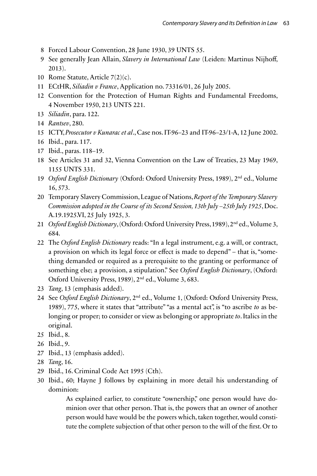- 8 Forced Labour Convention, 28 June 1930, 39 UNTS 55.
- 9 See generally Jean Allain, *Slavery in International Law* (Leiden: Martinus Nijhoff, 2013).
- 10 Rome Statute, Article 7(2)(c).
- 11 ECtHR, *Siliadin v France*, Application no. 73316/01, 26 July 2005.
- 12 Convention for the Protection of Human Rights and Fundamental Freedoms, 4 November 1950, 213 UNTS 221.
- 13 *Siliadin*, para. 122.
- 14 *Rantsev*, 280.
- 15 ICTY, *Prosecutor v Kunarac et al*., Case nos. IT-96–23 and IT-96–23/1-A, 12 June 2002.
- 16 Ibid., para. 117.
- 17 Ibid., paras. 118–19.
- 18 See Articles 31 and 32, Vienna Convention on the Law of Treaties, 23 May 1969, 1155 UNTS 331.
- 19 *Oxford English Dictionary* (Oxford: Oxford University Press, 1989), 2nd ed., Volume 16, 573.
- 20 Temporary Slavery Commission, League of Nations, *Report of the Temporary Slavery Commission adopted in the Course of its Second Session, 13th July –25th July 1925*, Doc. A.19.1925.VI, 25 July 1925, 3.
- 21 *Oxford English Dictionary*, (Oxford: Oxford University Press, 1989), 2nd ed., Volume 3, 684.
- 22 The *Oxford English Dictionary* reads: "In a legal instrument, e.g. a will, or contract, a provision on which its legal force or effect is made to depend" – that is, "something demanded or required as a prerequisite to the granting or performance of something else; a provision, a stipulation." See *Oxford English Dictionary*, (Oxford: Oxford University Press, 1989), 2<sup>nd</sup> ed., Volume 3, 683.
- 23 *Tang*, 13 (emphasis added).
- 24 See *Oxford English Dictionary*, 2nd ed., Volume 1, (Oxford: Oxford University Press, 1989), 775, where it states that "attribute" "as a mental act", is "to ascribe *to* as belonging or proper; to consider or view as belonging or appropriate *to*. Italics in the original.
- 25 Ibid., 8.
- 26 Ibid., 9.
- 27 Ibid., 13 (emphasis added).
- 28 *Tang*, 16.
- 29 Ibid., 16. Criminal Code Act 1995 (Cth).
- 30 Ibid., 60; Hayne J follows by explaining in more detail his understanding of dominion:

As explained earlier, to constitute "ownership," one person would have dominion over that other person. That is, the powers that an owner of another person would have would be the powers which, taken together, would constitute the complete subjection of that other person to the will of the first. Or to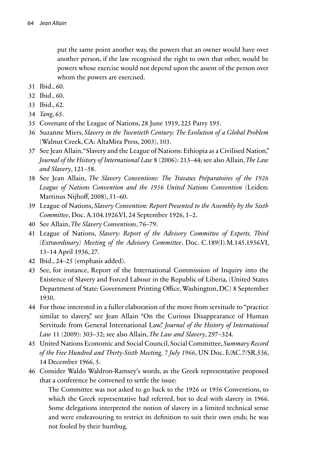put the same point another way, the powers that an owner would have over another person, if the law recognised the right to own that other, would be powers whose exercise would not depend upon the assent of the person over whom the powers are exercised.

- 31 Ibid., 60.
- 32 Ibid., 60.
- 33 Ibid., 62.
- 34 *Tang*, 65.
- 35 Covenant of the League of Nations, 28 June 1919, 225 Parry 195.
- 36 Suzanne Miers, *Slavery in the Twentieth Century: The Evolution of a Global Problem* (Walnut Creek, CA: AltaMira Press, 2003), 103.
- 37 See Jean Allain, "Slavery and the League of Nations: Ethiopia as a Civilised Nation," *Journal of the History of International Law* 8 (2006): 213–44; see also Allain, *The Law and Slavery*, 121–58.
- 38 See Jean Allain, *The Slavery Conventions: The Travaux Préparatoires of the 1926 League of Nations Convention and the 1956 United Nations Convention* (Leiden: Martinus Nijhoff, 2008), 51–60.
- 39 League of Nations, *Slavery Convention: Report Presented to the Assembly by the Sixth Committee*, Doc. A.104.1926.VI, 24 September 1926, 1–2.
- 40 See Allain, *The Slavery Conventions*, 76–79.
- 41 League of Nations, *Slavery: Report of the Advisory Committee of Experts, Third (Extraordinary) Meeting of the Advisory Committee*, Doc. C.189(I).M.145.1936.VI, 13–14 April 1936, 27.
- 42 Ibid., 24–25 (emphasis added).
- 43 See, for instance, Report of the International Commission of Inquiry into the Existence of Slavery and Forced Labour in the Republic of Liberia, (United States Department of State: Government Printing Office, Washington, DC) 8 September 1930.
- 44 For those interested in a fuller elaboration of the move from servitude to "practice similar to slavery," see Jean Allain "On the Curious Disappearance of Human Servitude from General International Law," *Journal of the History of International Law* 11 (2009): 303–32; see also Allain, *The Law and Slavery*, 297–324.
- 45 United Nations Economic and Social Council, Social Committee, *Summary Record of the Five Hundred and Thirty-Sixth Meeting, 7 July 1966*, UN Doc. E/AC.7/SR.536, 14 December 1966, 5.
- 46 Consider Waldo Waldron-Ramsey's words, as the Greek representative proposed that a conference be convened to settle the issue:

The Committee was not asked to go back to the 1926 or 1956 Conventions, to which the Greek representative had referred, but to deal with slavery in 1966. Some delegations interpreted the notion of slavery in a limited technical sense and were endeavouring to restrict its definition to suit their own ends; he was not fooled by their humbug.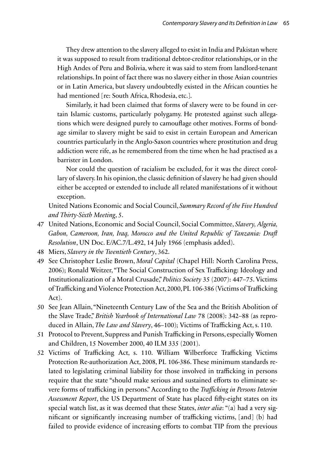They drew attention to the slavery alleged to exist in India and Pakistan where it was supposed to result from traditional debtor-creditor relationships, or in the High Andes of Peru and Bolivia, where it was said to stem from landlord-tenant relationships. In point of fact there was no slavery either in those Asian countries or in Latin America, but slavery undoubtedly existed in the African counties he had mentioned [re: South Africa, Rhodesia, etc.].

Similarly, it had been claimed that forms of slavery were to be found in certain Islamic customs, particularly polygamy. He protested against such allegations which were designed purely to camouflage other motives. Forms of bondage similar to slavery might be said to exist in certain European and American countries particularly in the Anglo-Saxon countries where prostitution and drug addiction were rife, as he remembered from the time when he had practised as a barrister in London.

Nor could the question of racialism be excluded, for it was the direct corollary of slavery. In his opinion, the classic definition of slavery he had given should either be accepted or extended to include all related manifestations of it without exception.

 United Nations Economic and Social Council, *Summary Record of the Five Hundred and Thirty-Sixth Meeting*, 5.

- 47 United Nations, Economic and Social Council, Social Committee, *Slavery, Algeria, Gabon, Cameroon, Iran, Iraq, Morocco and the United Republic of Tanzania: Draft Resolution*, UN Doc. E/AC.7/L.492, 14 July 1966 (emphasis added).
- 48 Miers, *Slavery in the Twentieth Century*, 362.
- 49 See Christopher Leslie Brown, *Moral Capital* (Chapel Hill: North Carolina Press, 2006); Ronald Weitzer, "The Social Construction of Sex Trafficking: Ideology and Institutionalization of a Moral Crusade," *Politics Society* 35 (2007): 447–75. Victims of Trafficking and Violence Protection Act, 2000, PL 106-386 (Victims of Trafficking Act).
- 50 See Jean Allain, "Nineteenth Century Law of the Sea and the British Abolition of the Slave Trade," *British Yearbook of International Law* 78 (2008): 342–88 (as reproduced in Allain, *The Law and Slavery*, 46–100); Victims of Trafficking Act, s. 110.
- 51 Protocol to Prevent, Suppress and Punish Trafficking in Persons, especially Women and Children, 15 November 2000, 40 ILM 335 (2001).
- 52 Victims of Trafficking Act, s. 110. William Wilberforce Trafficking Victims Protection Re-authorization Act, 2008, PL 106-386. These minimum standards related to legislating criminal liability for those involved in trafficking in persons require that the state "should make serious and sustained efforts to eliminate severe forms of trafficking in persons." According to the *Trafficking in Persons Interim Assessment Report*, the US Department of State has placed fifty-eight states on its special watch list, as it was deemed that these States, *inter alia*: "(a) had a very significant or significantly increasing number of trafficking victims, [and] (b) had failed to provide evidence of increasing efforts to combat TIP from the previous